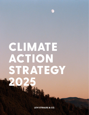# CLIMATE ACTION STRATEGY

20

**LEVI STRAUSS & CO.**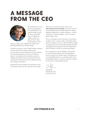## A MESSAGE FROM THE CEO



At Levi Strauss & Co., we have long recognized our responsibility as an industry leader to push for more sustainable ways of making our clothes. In fact, we believe that it's time for businesses to start

playing a larger role in fighting the world's most pressing problems, like climate change.

Scientific consensus is clear: Global climate change is a serious threat that requires urgent action. For our industry and our planet to survive and thrive into the future, business as usual is no longer an option. It is imperative that we all do our part to mitigate the impacts that our business has on the environment and protect the raw materials that go into making our products.

Nothing less than the health and well-being of the communities where we live and work are at stake. That's why I am proud to share with you our **2025 Climate Action Strategy,** which sets concrete and achievable science-based targets for making significant reductions in carbon emissions – a major contributor to climate change – across our entire global supply chain.

This is a roadmap for what we plan to do and how we plan to do it – and we hope it will inspire others across our industry to join us. These ambitious targets are approved by the Science Based Targets Initiative and aligned with the goals of the Paris Agreement, which continues to have our unwavering support.

As a company, we are committed to advocating for strong climate policies and taking significant action to reduce our climate impact. We believe it is our responsibility, both as a corporate citizen and a sustainability leader, to continue setting an example for the future of responsible business.

Chip Bergh, President & CEO Levi Strauss & Co.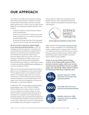### **OUR APPROACH**

Levi Strauss & Co. (LS&Co.) has focused on tracking and reducing GHG emissions to lessen our climate change impact and provide momentum in driving global climate action. In 2012, we set our 2020 climate targets for our owned-and-operated facilities, which included:

- 25 percent reduction in GHG emissions (offices, retail and distribution)
- 5 percent annual reduction in GHG emissions per product shipped from our owned-and-operated manufacturing facilities
- 20 percent of energy purchases from renewable sources for all our owned-and-operated facilities

**We are on track to exceed our climate targets in our owned-and-operated facilities.** In 2017, we achieved a 25 percent reduction in emissions from our 2012 base year, exceeding our target ahead of schedule, and used 20 percent renewable energy. We achieved this accelerated carbon impact reduction despite retail store growth in the U.S. by investing in LED lighting at retail as well as in our distribution centers and manufacturing facilities. We prioritized energy efficiency, conducting a number of audits and achieving [LEED Platinum certification](http://levistrauss.com/unzipped-blog/2016/01/12/our-lsco-distribution-center-goes-leed-platinum/) at one of our distribution centers.

While we have demonstrated leadership through our efforts in our own operations, we are acutely aware that the apparel industry's most significant climate impact is in the global supply chain. Over the last several years, we have piloted innovative programs aimed at reducing our environmental impact in the supply chain. We are encouraged by the results and have begun to scale those programs.

In September 2017, we [committed to setting science](http://levistrauss.com/unzipped-blog/2017/09/18/levi-strauss-co-commits-key-climate-targets/)[based targets](http://levistrauss.com/unzipped-blog/2017/09/18/levi-strauss-co-commits-key-climate-targets/) as part of our actions to address climate change. Science tells us that to avoid the worst consequences of climate change, we must limit the increase in global average temperature to well below 2°C compared to pre-industrial levels, a threshold outlined in the international Paris Agreement. To stay beneath this threshold, scientists estimate that no more than 1 trillion metric tonnes of carbon dioxide can be added to the atmosphere. A corporation's

carbon reduction targets are considered sciencebased if they are in line withreducing the level of carbon required to keep global temperatures below that threshold.



DRIVING AMBITIOUS CORPORATE CLIMATE ACTION

LS&Co. worked with [Science Based Targets Initiative](https://sciencebasedtargets.org/)  (SBTi) to review and approve our methodology and targets, validating them as science-based. The SBTi is a collaboration between CDP (formerly the Carbon Disclosure Project), World Resources Institute (WRI), World Wide Fund for Nature (WWF), and United Nations Global Compact (UNGC).

**As part of our new Climate Action Strategy, we have set the following SBTi-approved GHG emissions reduction targets, which cover not only owned-and-operated facilities, but also our global supply chain. Specifically, LS&Co. intends to achieve the following by 2025 (from a 2016 base year):** 

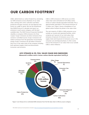### OUR CARBON FOOTPRINT

LS&Co. determined our carbon footprint by calculating our GHG emissions across all phases of our value chain, starting with cotton cultivation and fabric production through consumer use and disposal, also known as cradle-to-grave. We use the Greenhouse Gas (GHG) Protocol to calculate and report our emissions in each source category, with the best available data. The GHG Protocol Corporate Standard classifies a company's GHG emissions into three 'scopes': Scope 1 emissions are direct emissions from owned or controlled sources. Scope 2 emissions are indirect emissions from the generation of purchased energy. Scope 3 emissions are all indirect emissions that occur in the value chain of the company, including both upstream (supply chain) and downstream (consumer use) emissions.

LS&Co.'s GHG emissions in 2016 across our entire value chain were estimated at 5.24 million metric tonnes of carbon dioxide equivalent (mtCO2e). This is approximately equivalent to the annual emissions of 1.1 million cars.2 Figure 1 shows a breakdown of our global carbon footprint by phase in the value chain.

The vast majority of LS&Co.'s GHG emissions occur outside our owned-and-operated facilities, which comprise just 1 percent of our total value chain emissions: 63 percent of emissions occur in the supply chain and 36 percent of emissions occur in the consumer use and disposal phases. In other words, most of the emissions in our value chain occur outside LS&Co.'s direct influence.



#### LEVI STRAUSS & CO. FULL VALUE CHAIN GHG EMISSIONS **Measured in million metric tonnes carbon dioxide equivalent (mtCO2 e)**

**Figure 1: Levi Strauss & Co.'s estimated GHG emissions from the full value chain in 2016, by source category**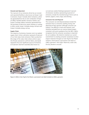#### **Owned-and-Operated**

The 1 percent of our emissions driven by our ownedand-operated facilities is also known as Scope 1 and 2 emissions. Scope 1 includes direct emissions, which are generated from the on-site combustion of fuels at LS&Co. facilities (boilers, furnaces, heaters, etc.). Scope 2 includes indirect emissions generated from the purchase of electricity, steam, heating, or cooling. In other words, Scope 1 includes energy we burn and Scope 2 includes energy we buy.

#### **Supply Chain**

The majority of emissions, however, are in our global supply chain. Cotton cultivation represents 10 percent of our total value chain emissions. Fabric production (the stage of the value chain where cotton is spun into thread, weaved at a mill into fabric, and dyed) represents the most significant source of emissions at 31 percent. Garment assembly (also known as

cut-and-sew and/or finishing) represents 9 percent of emissions. Sundries, representing 6 percent of emissions, include the manufacturing of items such as buttons, zippers, rivets, snaps, and stitching.

#### **Consumer Use and Disposal**

The consumer use and disposal phases include the emissions from a consumer washing, drying, and disposing of their garment. Although consumer use impacts are difficult to track and measure—and therefore excluded from our science-based targets consistent with sector guidance from the SBTi—LS&Co. recognizes that the consumer use phase is important for us to address. We intend to maintain our current commitment to creating consumer awareness to drive impact reduction through our Care Tag for Our Planet initiative, which places a permanent care label on LS&Co. garments that reads "Wash less, wash cold, line dry, donate or recycle."



**Figure 2: LS&Co.'s Care Tag for Our Planet, a permanent care label included on LS&Co. garments**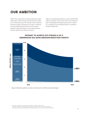### OUR AMBITION

LS&Co. has committed to reducing absolute Scope 1 and Scope 2 GHG emissions by 90 percent by 2025 from a 2016 base year. We will also reduce absolute emissions equal to 40 percent of Scope 3 emissions from purchased goods and services. By setting absolute reduction targets, we are decoupling our business growth from carbon emissions.

LS&Co. has developed ambitious, science-based GHG reduction targets, which ensure that we are doing our part to keep global average temperatures to below 2°C compared to pre-industrial levels, as outlined in the Paris Agreement.



#### PATHWAY TO ACHIEVE LEVI STRAUSS & CO.'S GREENHOUSE GAS (GHG) EMISSION REDUCTION TARGETS

**Figure 4: Illustrative pathway to reach Levi Strauss & Co.'s 2025 science-based targets**

<sup>3</sup> Consumer use impacts are also known as Category 11 emissions under Scope 3. 4 Care label is included on all products directly sourced by LS&Co, or direct-contract manufactured,

this excludes some products including those produced by licensees, as well as footwear and accessories.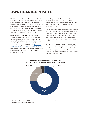### OWNED-AND-OPERATED

LS&Co.'s owned-and-operated facilities include offices, retail stores, distribution centers, and two manufacturing plants. Emissions from our owned-and-operated activities generally fall into the Scope 1 and 2 emissions categories. Collectively, these emissions make up only about 1 percent of our carbon footprint. Nonetheless, we have direct control over these emissions and can therefore make meaningful change quickly.

#### **Achieving our Owned-and-Operated Targets**

The distribution centers that we operate comprise the largest portion of our Scope 1 and 2 emissions. We have focused heavily on energy efficiency and reduction efforts at these facilities and will continue to do so. For example, in 2016, LS&Co.'s [Sky Harbor](http://levistrauss.com/unzipped-blog/2016/01/12/our-lsco-distribution-center-goes-leed-platinum/)  [distribution center in Henderson, Nevada](http://levistrauss.com/unzipped-blog/2016/01/12/our-lsco-distribution-center-goes-leed-platinum/) received the Leadership in Energy and Environmental Design (LEED) Platinum rating – the highest level of sustainable building certification.

It is the largest retrofitted warehouse in the world to earn Platinum status. We are proud of this accomplishment as fewer than 7 percent of the nearly 70,000 commercial LEED buildings achieve this certification globally.

We will continue to make energy efficiency upgrades as a way to reach our 90 percent emissions reduction target and shrink our energy footprint. We will also invest in onsite renewable energy to further drive reductions and purchase renewable energy credits, ultimately sourcing 100 percent renewable electricity by 2025.

As illustrated in Figure 5, electricity makes up the bulk (74 percent) of energy use at our owned-andoperated facilities and will be supplanted entirely by renewable energy by 2025. Twenty-two percent of our energy use is from natural gas, for which we plan to purchase bio gas credits.



#### LEVI STRAUSS & CO. PERCENTAGE BREAKDOWN OF OWNED-AND-OPERATED ENERGY SOURCE BY MWH, 2016

**Figure 5: Levi Strauss & Co.'s 2016 energy source across all owned-and-operated (includes leased) facilities, by percentage**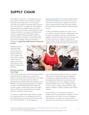### **SUPPLY CHAIN**

The majority  $-63$  percent  $-$  of emissions across our entire value chain (from cotton cultivation through consumer use and disposal) occur in the supply chain. Like most apparel companies, LS&Co. does not own most factories in its supply chain, and suppliers typically produce for multiple brands at the same time (i.e., we are not exclusive customers). This makes reducing emissions in our supply chain difficult, and very few companies have set ambitious carbon reduction targets covering their entire supply chain. At Levi Strauss & Co., however, we have never shied away from a challenge. We have committed to reducing our **supply chain GHG emissions5 40 percent by 2025.** 

[Cleaner Textiles \(PaCT\).](http://www.textilepact.net/) This innovative public-private partnership provides access to advisory services as well as low-cost financing to suppliers who wish to invest in improving their energy and water footprint, but need technical support and/or the upfront capital to do so.

In 2016, we initiated the program as a pilot in six of our suppliers' manufacturing sites in Bangladesh, India, Sri Lanka, and Vietnam. In one year, participating suppliers reduced their GHG emissions by an average of nearly 20 percent. In addition to reducing their carbon footprint, these initiatives helped participating suppliers save more than \$1 million in operating costs.

We believe that an ambitious target such as ours will not only reduce our footprint and that of our suppliers, but also serve to catalyze action within our industry and across other industries with global manufacturing footprints.



#### **Achieving our Supply Chain Target**

Over the last several years, we have piloted innovative programs aimed at reducing our environmental impact in the supply chain and have been encouraged by the results. For example, starting in 2011, we partnered with the Natural Resources Defense Council (NRDC) on the [Clean by Design Program](https://www.nrdc.org/stories/fixing-fashion-industry), an initiative to reduce the environmental impact of textile mills in China. To date, 12 textile mills in China that supply fabric to LS&Co. have participated in this program, resulting in significant energy savings.

To achieve our supply chain carbon reduction target, we see great promise in our collaboration with the International Finance Corporation (IFC), the financing arm of the World Bank, on the [Partnership for](http://www.textilepact.net/) 

Given these promising results, we are now working with the IFC to scale the PaCT program globally to include more suppliers. Notably, we will expand the program beyond garment assembly (cut-andsew manufacturers, our Tier 1 suppliers) to fabric production (fabric mills, our Tier 2 suppliers), which is a more carbon-intensive industry and the singlelargest contributor to LS&Co.'s cradle-to-gate carbon footprint.

Energy efficiency is a major focus of the PaCT program given the opportunities for suppliers to lower operating costs; as a result, it is key to meeting the 2025 target for our supply chain carbon footprint reduction. At the same time, we know there is a need

5 In accordance with the GHG Protocol, and as approved by the Science Based Targets Initiative, the emissions category for our entire supply chain is: Scope 3 Category 1 (purchased goods and services).

6 Pesticide Action Network UK, ["Is Cotton Conquering its Chemical Addiction?: A Review of Pestiide Use in Global Cotton Production",](http://issuu.com/pan-uk/docs/cottons_chemical_addiction_-_final_?e=28041656/54138689) June 2018.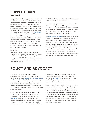### **SUPPLY CHAIN (Continued)**

to support renewable energy across the supply chain and drive the clean energy economy in developing energy markets. As part of our program, LS&Co. will partner with its suppliers to cover the costs of a renewable energy assessment. For suppliers for whom onsite renewable investment is feasible, LS&Co. will collaborate with the IFC on a financing model. As a starting point, we will leverage the [IFC Global Trade](https://www.ifc.org/wps/wcm/connect/industry_ext_content/ifc_external_corporate_site/financial+institutions/priorities/global+trade/gtsf2)  [Supplier Finance](https://www.ifc.org/wps/wcm/connect/industry_ext_content/ifc_external_corporate_site/financial+institutions/priorities/global+trade/gtsf2) program, in which LS&Co. has been involved since 2014. This program enables suppliers to access competitively-priced financing based on criteria such as strong performance on our Terms of Engagement (LS&Co.'s supplier code of conduct). It provides access to capital for sustainability investments, which the supplier may otherwise not have been able to finance.

#### **Better Cotton**

While cotton production contributes to climate change, like other agricultural commodities, it is also at risk from the effects of climate change. There are approximately 100 million cotton farmers facing arable land constraints and water scarcity as climate change takes place.<sup>6</sup>

All of this creates business risk and uncertainty around cotton availability, quality, and pricing.

Most of our supply chain emissions reduction will be driven by scaling the IFC PaCT program across our Tier 1 and Tier 2 suppliers. However, we will continue to increase our procurement of more sustainable cotton as a way to reduce our climate change impact as well as increase farmers' climate resilience.

The [Better Cotton Initiative](https://bettercotton.org/) promotes the use of cotton farmed to higher environmental, social, and economic standards. Each year, we have increased the percentage of Better Cotton we source. Ultimately, our goal is to source 100 percent more sustainable cotton by 2020, including 95 percent Better Cotton, plus a mix of organic and recycled cotton. We are working with the Better Cotton Initiative to develop metrics for quantifying and reporting the program's positive impact in the areas of water efficiency, pesticides and synthetic fertilizer use, farmer profitability, and carbon impact.

### **POLICY AND ADVOCACY**

Through our partnership with the sustainability nonprofit Ceres, LS&Co. was a founding member of the advocacy coalition [Business for Innovative Climate](https://www.ceres.org/networks/ceres-policy-network)  [and Energy Policy \(BICEP\)](https://www.ceres.org/networks/ceres-policy-network). BICEP is a cross-industry organization focused on making the business case to policymakers for advancing clean energy and addressing climate change. Since BICEP's inception in 2008, we have been able to speak with a united voice on climate concerns.

In 2015, we were among one of the first business voices to express support for the Paris Climate Agreement. During those negotiations, our CEO [Chip Bergh](https://www.ceres.org/sites/default/files/Fact Sheets or misc files/Company Network Materials/Ceres_CEOstatement_politico_120115 (1).compressed.pdf) joined the heads of several global apparel companies in asking world leaders to sign a strong global climate deal. In 2017, the United States government announced its intent to withdraw

from the Paris Climate Agreement. We stood with thousands of businesses, states, and mayors in joining the [We Are Still In](https://www.wearestillin.com/we-are-still-declaration) movement, reaffirming our continued support for climate action to meet the targets under the Paris Agreement.

LS&Co. is committed to reducing GHG emissions from our own operations and within our global supply chain, and we have set these targets in accordance with the Paris Climate Agreement. At the same time, we recognize that government leadership is essential for widespread action to address climate change and create the enabling environment for the efforts by our company and others. Thus, we will continue our advocacy to advance policies that support federal and global climate action.